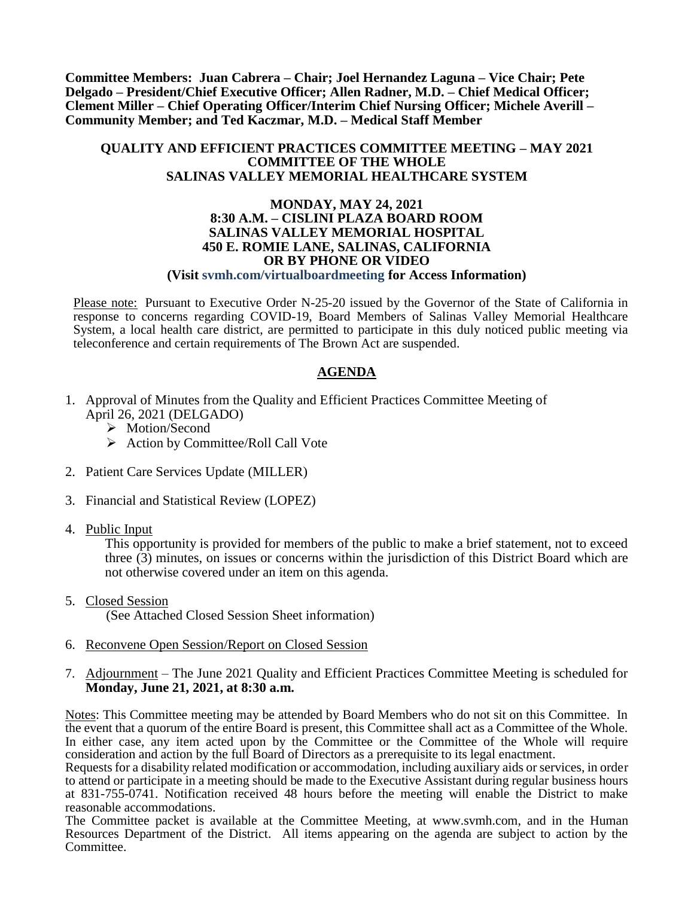**Committee Members: Juan Cabrera – Chair; Joel Hernandez Laguna – Vice Chair; Pete Delgado – President/Chief Executive Officer; Allen Radner, M.D. – Chief Medical Officer; Clement Miller – Chief Operating Officer/Interim Chief Nursing Officer; Michele Averill – Community Member; and Ted Kaczmar, M.D. – Medical Staff Member**

### **QUALITY AND EFFICIENT PRACTICES COMMITTEE MEETING – MAY 2021 COMMITTEE OF THE WHOLE SALINAS VALLEY MEMORIAL HEALTHCARE SYSTEM**

#### **MONDAY, MAY 24, 2021 8:30 A.M. – CISLINI PLAZA BOARD ROOM SALINAS VALLEY MEMORIAL HOSPITAL 450 E. ROMIE LANE, SALINAS, CALIFORNIA OR BY PHONE OR VIDEO (Visit svmh.com/virtualboardmeeting for Access Information)**

Please note: Pursuant to Executive Order N-25-20 issued by the Governor of the State of California in response to concerns regarding COVID-19, Board Members of Salinas Valley Memorial Healthcare System, a local health care district, are permitted to participate in this duly noticed public meeting via teleconference and certain requirements of The Brown Act are suspended.

### **AGENDA**

- 1. Approval of Minutes from the Quality and Efficient Practices Committee Meeting of April 26, 2021 (DELGADO)
	- > Motion/Second
	- $\triangleright$  Action by Committee/Roll Call Vote
- 2. Patient Care Services Update (MILLER)
- 3. Financial and Statistical Review (LOPEZ)
- 4. Public Input

This opportunity is provided for members of the public to make a brief statement, not to exceed three (3) minutes, on issues or concerns within the jurisdiction of this District Board which are not otherwise covered under an item on this agenda.

- 5. Closed Session (See Attached Closed Session Sheet information)
- 6. Reconvene Open Session/Report on Closed Session
- 7. Adjournment The June 2021 Quality and Efficient Practices Committee Meeting is scheduled for **Monday, June 21, 2021, at 8:30 a.m.**

Notes: This Committee meeting may be attended by Board Members who do not sit on this Committee. In the event that a quorum of the entire Board is present, this Committee shall act as a Committee of the Whole. In either case, any item acted upon by the Committee or the Committee of the Whole will require consideration and action by the full Board of Directors as a prerequisite to its legal enactment.

Requests for a disability related modification or accommodation, including auxiliary aids or services, in order to attend or participate in a meeting should be made to the Executive Assistant during regular business hours at 831-755-0741. Notification received 48 hours before the meeting will enable the District to make reasonable accommodations.

The Committee packet is available at the Committee Meeting, at www.svmh.com, and in the Human Resources Department of the District. All items appearing on the agenda are subject to action by the Committee.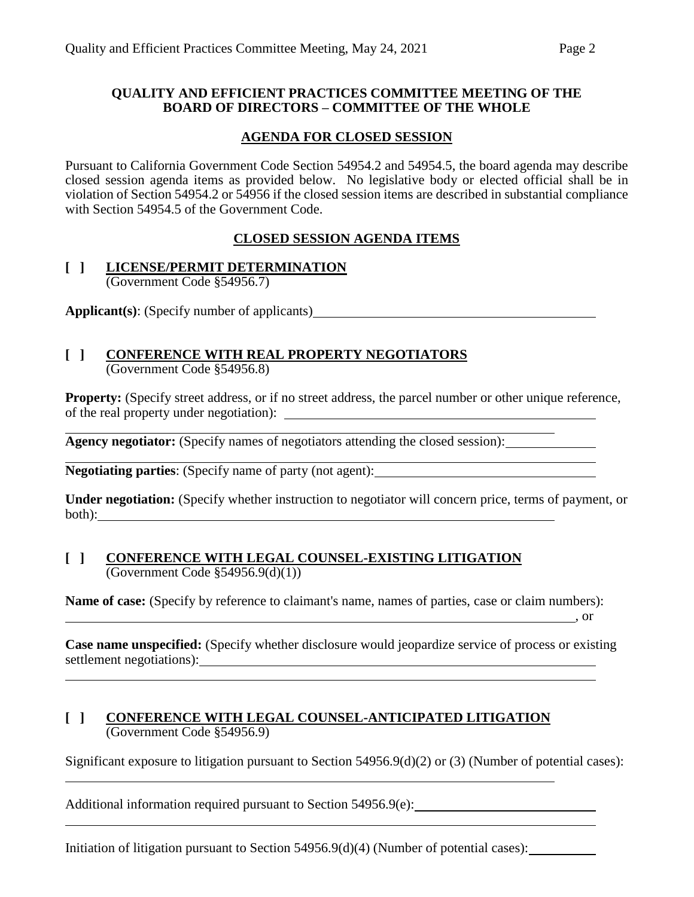### **QUALITY AND EFFICIENT PRACTICES COMMITTEE MEETING OF THE BOARD OF DIRECTORS – COMMITTEE OF THE WHOLE**

### **AGENDA FOR CLOSED SESSION**

Pursuant to California Government Code Section 54954.2 and 54954.5, the board agenda may describe closed session agenda items as provided below. No legislative body or elected official shall be in violation of Section 54954.2 or 54956 if the closed session items are described in substantial compliance with Section 54954.5 of the Government Code.

## **CLOSED SESSION AGENDA ITEMS**

### **[ ] LICENSE/PERMIT DETERMINATION** (Government Code §54956.7)

**Applicant(s)**: (Specify number of applicants)

# **[ ] CONFERENCE WITH REAL PROPERTY NEGOTIATORS**

(Government Code §54956.8)

**Property:** (Specify street address, or if no street address, the parcel number or other unique reference, of the real property under negotiation):

**Agency negotiator:** (Specify names of negotiators attending the closed session):

**Negotiating parties**: (Specify name of party (not agent):

**Under negotiation:** (Specify whether instruction to negotiator will concern price, terms of payment, or both):

### **[ ] CONFERENCE WITH LEGAL COUNSEL-EXISTING LITIGATION** (Government Code §54956.9(d)(1))

**Name of case:** (Specify by reference to claimant's name, names of parties, case or claim numbers):

**Case name unspecified:** (Specify whether disclosure would jeopardize service of process or existing settlement negotiations):

 $\overline{\phantom{a}}$  , or

### **[ ] CONFERENCE WITH LEGAL COUNSEL-ANTICIPATED LITIGATION** (Government Code §54956.9)

Significant exposure to litigation pursuant to Section 54956.9(d)(2) or (3) (Number of potential cases):

Additional information required pursuant to Section 54956.9(e):

Initiation of litigation pursuant to Section 54956.9(d)(4) (Number of potential cases):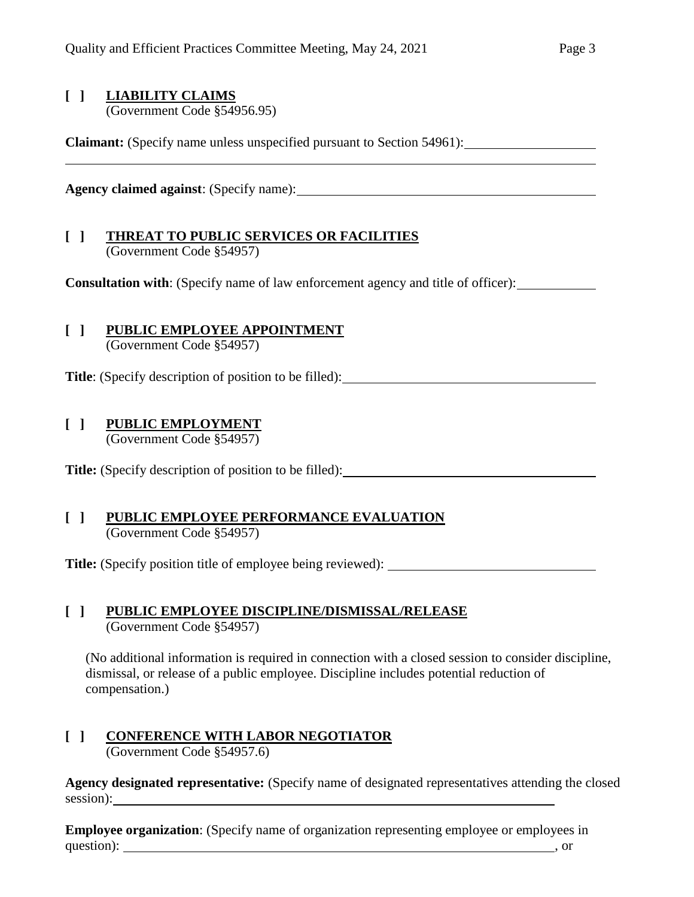# **[ ] LIABILITY CLAIMS**

(Government Code §54956.95)

**Claimant:** (Specify name unless unspecified pursuant to Section 54961):

**Agency claimed against**: (Specify name):

## **[ ] THREAT TO PUBLIC SERVICES OR FACILITIES** (Government Code §54957)

**Consultation with**: (Specify name of law enforcement agency and title of officer):

# **[ ] PUBLIC EMPLOYEE APPOINTMENT**

(Government Code §54957)

**Title**: (Specify description of position to be filled):

## **[ ] PUBLIC EMPLOYMENT**

(Government Code §54957)

**Title:** (Specify description of position to be filled):

## **[ ] PUBLIC EMPLOYEE PERFORMANCE EVALUATION** (Government Code §54957)

**Title:** (Specify position title of employee being reviewed):

### **[ ] PUBLIC EMPLOYEE DISCIPLINE/DISMISSAL/RELEASE** (Government Code §54957)

(No additional information is required in connection with a closed session to consider discipline, dismissal, or release of a public employee. Discipline includes potential reduction of compensation.)

### **[ ] CONFERENCE WITH LABOR NEGOTIATOR** (Government Code §54957.6)

**Agency designated representative:** (Specify name of designated representatives attending the closed session):

**Employee organization**: (Specify name of organization representing employee or employees in question): solution and the contract of the contract of the contract of the contract of the contract of the contract of the contract of the contract of the contract of the contract of the contract of the contract of the co